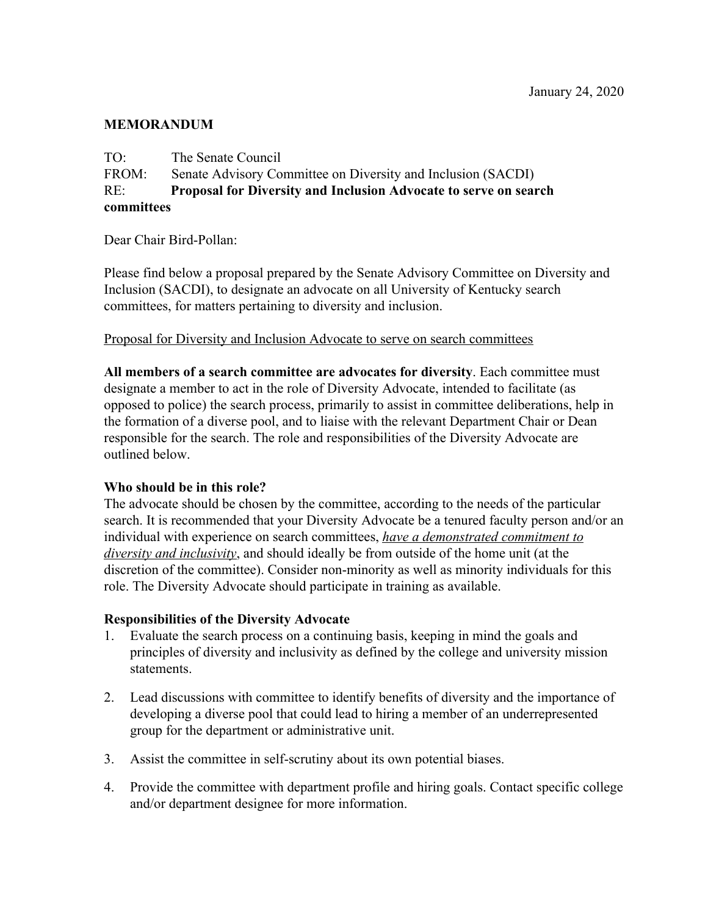## **MEMORANDUM**

TO: The Senate Council FROM: Senate Advisory Committee on Diversity and Inclusion (SACDI) RE: **Proposal for Diversity and Inclusion Advocate to serve on search committees**

Dear Chair Bird-Pollan:

Please find below a proposal prepared by the Senate Advisory Committee on Diversity and Inclusion (SACDI), to designate an advocate on all University of Kentucky search committees, for matters pertaining to diversity and inclusion.

### Proposal for Diversity and Inclusion Advocate to serve on search committees

**All members of a search committee are advocates for diversity**. Each committee must designate a member to act in the role of Diversity Advocate, intended to facilitate (as opposed to police) the search process, primarily to assist in committee deliberations, help in the formation of a diverse pool, and to liaise with the relevant Department Chair or Dean responsible for the search. The role and responsibilities of the Diversity Advocate are outlined below.

### **Who should be in this role?**

The advocate should be chosen by the committee, according to the needs of the particular search. It is recommended that your Diversity Advocate be a tenured faculty person and/or an individual with experience on search committees, *have a demonstrated commitment to diversity and inclusivity*, and should ideally be from outside of the home unit (at the discretion of the committee). Consider non-minority as well as minority individuals for this role. The Diversity Advocate should participate in training as available.

#### **Responsibilities of the Diversity Advocate**

- 1. Evaluate the search process on a continuing basis, keeping in mind the goals and principles of diversity and inclusivity as defined by the college and university mission statements.
- 2. Lead discussions with committee to identify benefits of diversity and the importance of developing a diverse pool that could lead to hiring a member of an underrepresented group for the department or administrative unit.
- 3. Assist the committee in self-scrutiny about its own potential biases.
- 4. Provide the committee with department profile and hiring goals. Contact specific college and/or department designee for more information.